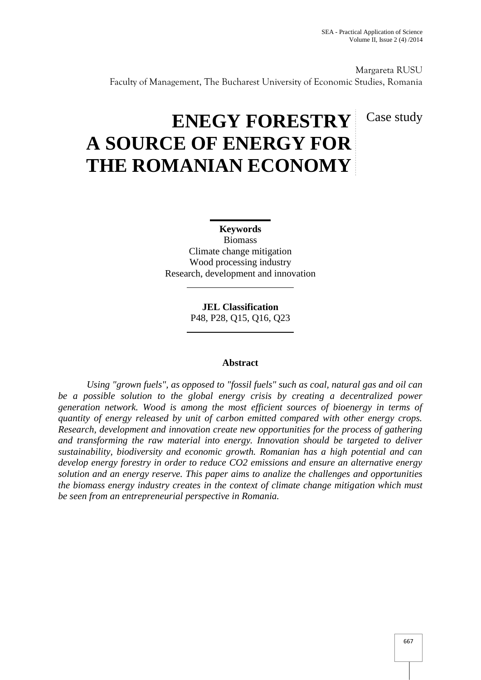Margareta RUSU Faculty of Management, The Bucharest University of Economic Studies, Romania

# Case study

# **ENEGY FORESTRY A SOURCE OF ENERGY FOR THE ROMANIAN ECONOMY**

**Keywords** Biomass Climate change mitigation Wood processing industry Research, development and innovation

> **JEL Classification** P48, P28, Q15, Q16, Q23

# **Abstract**

*Using "grown fuels", as opposed to "fossil fuels" such as coal, natural gas and oil can be a possible solution to the global energy crisis by creating a decentralized power generation network. Wood is among the most efficient sources of bioenergy in terms of quantity of energy released by unit of carbon emitted compared with other energy crops. Research, development and innovation create new opportunities for the process of gathering and transforming the raw material into energy. Innovation should be targeted to deliver sustainability, biodiversity and economic growth. Romanian has a high potential and can develop energy forestry in order to reduce CO2 emissions and ensure an alternative energy solution and an energy reserve. This paper aims to analize the challenges and opportunities the biomass energy industry creates in the context of climate change mitigation which must be seen from an entrepreneurial perspective in Romania.*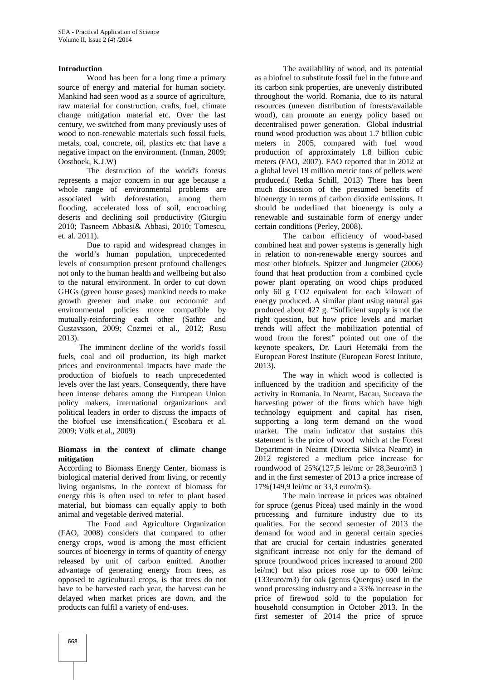# **Introduction**

Wood has been for a long time a primary source of energy and material for human society. Mankind had seen wood as a source of agriculture, raw material for construction, crafts, fuel, climate change mitigation material etc. Over the last century, we switched from many previously uses of wood to non-renewable materials such fossil fuels, metals, coal, concrete, oil, plastics etc that have a negative impact on the environment. (Inman, 2009; Oosthoek, K.J.W)

The destruction of the world's forests represents a major concern in our age because a whole range of environmental problems are associated with deforestation, among them flooding, accelerated loss of soil, encroaching deserts and declining soil productivity (Giurgiu 2010; Tasneem Abbasi& Abbasi, 2010; Tomescu, et. al. 2011).

Due to rapid and widespread changes in the world's human population, unprecedented levels of consumption present profound challenges not only to the human health and wellbeing but also to the natural environment. In order to cut down GHGs (green house gases) mankind needs to make growth greener and make our economic and environmental policies more compatible by mutually-reinforcing each other (Sathre and Gustavsson, 2009; Cozmei et al., 2012; Rusu 2013).

The imminent decline of the world's fossil fuels, coal and oil production, its high market prices and environmental impacts have made the production of biofuels to reach unprecedented levels over the last years. Consequently, there have been intense debates among the European Union policy makers, international organizations and political leaders in order to discuss the impacts of the biofuel use intensification.( Escobara et al. 2009; Volk et al., 2009)

#### **Biomass in the context of climate change mitigation**

According to Biomass Energy Center, biomass is biological material derived from living, or recently living organisms. In the context of biomass for energy this is often used to refer to plant based material, but biomass can equally apply to both animal and vegetable derived material.

The Food and Agriculture Organization (FAO, 2008) considers that compared to other energy crops, wood is among the most efficient sources of bioenergy in terms of quantity of energy released by unit of carbon emitted. Another advantage of generating energy from trees, as opposed to agricultural crops, is that trees do not have to be harvested each year, the harvest can be delayed when market prices are down, and the products can fulfil a variety of end-uses.

The availability of wood, and its potential as a biofuel to substitute fossil fuel in the future and its carbon sink properties, are unevenly distributed throughout the world. Romania, due to its natural resources (uneven distribution of forests/available wood), can promote an energy policy based on decentralised power generation. Global industrial round wood production was about 1.7 billion cubic meters in 2005, compared with fuel wood production of approximately 1.8 billion cubic meters (FAO, 2007). FAO reported that in 2012 at a global level 19 million metric tons of pellets were produced.( Retka Schill, 2013) There has been much discussion of the presumed benefits of bioenergy in terms of carbon dioxide emissions. It should be underlined that bioenergy is only a renewable and sustainable form of energy under certain conditions (Perley, 2008).

The carbon efficiency of wood-based combined heat and power systems is generally high in relation to non-renewable energy sources and most other biofuels. Spitzer and Jungmeier (2006) found that heat production from a combined cycle power plant operating on wood chips produced only 60 g CO2 equivalent for each kilowatt of energy produced. A similar plant using natural gas produced about 427 g. "Sufficient supply is not the right question, but how price levels and market trends will affect the mobilization potential of wood from the forest" pointed out one of the keynote speakers, Dr. Lauri Hetemäki from the European Forest Institute (European Forest Intitute, 2013).

The way in which wood is collected is influenced by the tradition and specificity of the activity in Romania. In Neamt, Bacau, Suceava the harvesting power of the firms which have high technology equipment and capital has risen, supporting a long term demand on the wood market. The main indicator that sustains this statement is the price of wood which at the Forest Department in Neamt (Directia Silvica Neamt) in 2012 registered a medium price increase for roundwood of 25%(127,5 lei/mc or 28,3euro/m3 ) and in the first semester of 2013 a price increase of 17%(149,9 lei/mc or 33,3 euro/m3).

The main increase in prices was obtained for spruce (genus Picea) used mainly in the wood processing and furniture industry due to its qualities. For the second semester of 2013 the demand for wood and in general certain species that are crucial for certain industries generated significant increase not only for the demand of spruce (roundwood prices increased to around 200 lei/mc) but also prices rose up to 600 lei/mc  $(133$ euro/m3) for oak (genus Querqus) used in the wood processing industry and a 33% increase in the price of firewood sold to the population for household consumption in October 2013. In the first semester of 2014 the price of spruce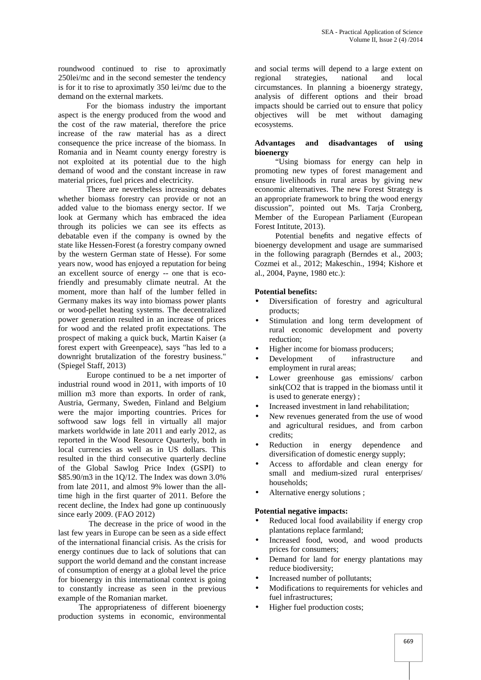roundwood continued to rise to aproximatly 250lei/mc and in the second semester the tendency is for it to rise to aproximatly 350 lei/mc due to the demand on the external markets.

For the biomass industry the important aspect is the energy produced from the wood and the cost of the raw material, therefore the price increase of the raw material has as a direct consequence the price increase of the biomass. In Romania and in Neamt county energy forestry is not exploited at its potential due to the high demand of wood and the constant increase in raw material prices, fuel prices and electricity.

There are nevertheless increasing debates whether biomass forestry can provide or not an added value to the biomass energy sector. If we look at Germany which has embraced the idea through its policies we can see its effects as debatable even if the company is owned by the state like Hessen-Forest (a forestry company owned by the western German state of Hesse). For some years now, wood has enjoyed a reputation for being an excellent source of energy -- one that is ecofriendly and presumably climate neutral. At the moment, more than half of the lumber felled in Germany makes its way into biomass power plants or wood-pellet heating systems. The decentralized power generation resulted in an increase of prices for wood and the related profit expectations. The prospect of making a quick buck, Martin Kaiser (a forest expert with Greenpeace), says "has led to a downright brutalization of the forestry business." (Spiegel Staff, 2013)

Europe continued to be a net importer of industrial round wood in 2011, with imports of 10 million m3 more than exports. In order of rank, Austria, Germany, Sweden, Finland and Belgium were the major importing countries. Prices for softwood saw logs fell in virtually all major markets worldwide in late 2011 and early 2012, as reported in the Wood Resource Quarterly, both in local currencies as well as in US dollars. This resulted in the third consecutive quarterly decline of the Global Sawlog Price Index (GSPI) to \$85.90/m3 in the 1Q/12. The Index was down 3.0% from late 2011, and almost 9% lower than the alltime high in the first quarter of 2011. Before the recent decline, the Index had gone up continuously since early 2009. (FAO 2012)

The decrease in the price of wood in the last few years in Europe can be seen as a side effect of the international financial crisis. As the crisis for energy continues due to lack of solutions that can support the world demand and the constant increase of consumption of energy at a global level the price for bioenergy in this international context is going to constantly increase as seen in the previous example of the Romanian market.

The appropriateness of different bioenergy production systems in economic, environmental

and social terms will depend to a large extent on strategies, national and local circumstances. In planning a bioenergy strategy, analysis of different options and their broad impacts should be carried out to ensure that policy objectives will be met without damaging ecosystems.

#### **Advantages and disadvantages of using bioenergy**

"Using biomass for energy can help in promoting new types of forest management and ensure livelihoods in rural areas by giving new economic alternatives. The new Forest Strategy is an appropriate framework to bring the wood energy discussion", pointed out Ms. Tarja Cronberg, Member of the European Parliament (European Forest Intitute, 2013).

Potential benefits and negative effects of bioenergy development and usage are summarised in the following paragraph (Berndes et al., 2003; Cozmei et al., 2012; Makeschin., 1994; Kishore et al., 2004, Payne, 1980 etc.):

# **Potential benefits:**

- Diversification of forestry and agricultural products;
- Stimulation and long term development of rural economic development and poverty reduction;
- Higher income for biomass producers;
- Development of infrastructure and employment in rural areas;
- Lower greenhouse gas emissions/ carbon sink(CO2 that is trapped in the biomass until it is used to generate energy) ;
- Increased investment in land rehabilitation;
- New revenues generated from the use of wood and agricultural residues, and from carbon credits;
- Reduction in energy dependence and diversification of domestic energy supply;
- Access to affordable and clean energy for small and medium-sized rural enterprises/ households;
- Alternative energy solutions ;

# **Potential negative impacts:**

- Reduced local food availability if energy crop plantations replace farmland;
- Increased food, wood, and wood products prices for consumers;
- Demand for land for energy plantations may reduce biodiversity;
- Increased number of pollutants;
- Modifications to requirements for vehicles and fuel infrastructures;
- Higher fuel production costs;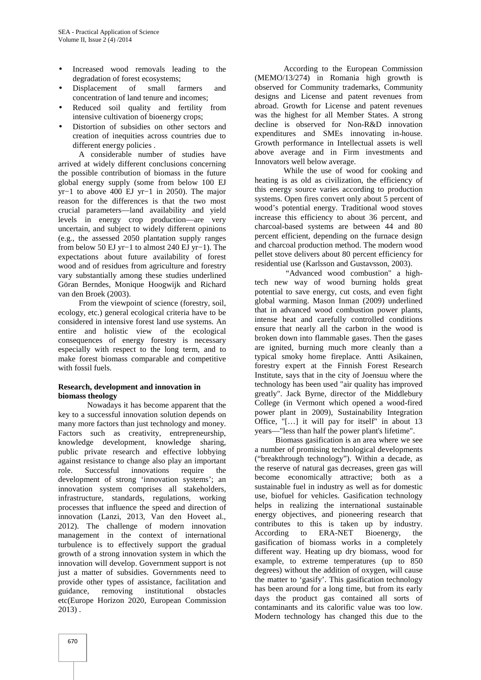- Increased wood removals leading to the degradation of forest ecosystems;
- Displacement of small farmers and concentration of land tenure and incomes;
- Reduced soil quality and fertility from intensive cultivation of bioenergy crops;
- Distortion of subsidies on other sectors and creation of inequities across countries due to different energy policies .

A considerable number of studies have arrived at widely different conclusions concerning the possible contribution of biomass in the future global energy supply (some from below 100 EJ yr−1 to above 400 EJ yr−1 in 2050). The major reason for the differences is that the two most crucial parameters—land availability and yield levels in energy crop production—are very uncertain, and subject to widely different opinions (e.g., the assessed 2050 plantation supply ranges from below 50 EJ yr−1 to almost 240 EJ yr−1). The expectations about future availability of forest wood and of residues from agriculture and forestry vary substantially among these studies underlined Göran Berndes, Monique Hoogwijk and Richard van den Broek (2003).

From the viewpoint of science (forestry, soil, ecology, etc.) general ecological criteria have to be considered in intensive forest land use systems. An entire and holistic view of the ecological consequences of energy forestry is necessary especially with respect to the long term, and to make forest biomass comparable and competitive with fossil fuels.

# **Research, development and innovation in biomass theology**

Nowadays it has become apparent that the key to a successful innovation solution depends on many more factors than just technology and money. Factors such as creativity, entrepreneurship, knowledge development, knowledge sharing, public private research and effective lobbying against resistance to change also play an important role. Successful innovations require the development of strong 'innovation systems'; an innovation system comprises all stakeholders, infrastructure, standards, regulations, working processes that influence the speed and direction of innovation (Lanzi, 2013, Van den Hoveet al., 2012). The challenge of modern innovation contributes<br>management in the context of international According management in the context of international turbulence is to effectively support the gradual growth of a strong innovation system in which the innovation will develop. Government support is not just a matter of subsidies. Governments need to provide other types of assistance, facilitation and guidance, removing institutional obstacles etc(Europe Horizon 2020, European Commission 2013) .

According to the European Commission (MEMO/13/274) in Romania high growth is observed for Community trademarks, Community designs and License and patent revenues from abroad. Growth for License and patent revenues was the highest for all Member States. A strong decline is observed for Non-R&D innovation expenditures and SMEs innovating in-house. Growth performance in Intellectual assets is well above average and in Firm investments and Innovators well below average.

While the use of wood for cooking and heating is as old as civilization, the efficiency of this energy source varies according to production systems. Open fires convert only about 5 percent of wood's potential energy. Traditional wood stoves increase this efficiency to about 36 percent, and charcoal-based systems are between 44 and 80 percent efficient, depending on the furnace design and charcoal production method. The modern wood pellet stove delivers about 80 percent efficiency for residential use (Karlsson and Gustavsson, 2003).

"Advanced wood combustion" a hightech new way of wood burning holds great potential to save energy, cut costs, and even fight global warming. Mason Inman (2009) underlined that in advanced wood combustion power plants, intense heat and carefully controlled conditions ensure that nearly all the carbon in the wood is broken down into flammable gases. Then the gases are ignited, burning much more cleanly than a typical smoky home fireplace. Antti Asikainen, forestry expert at the Finnish Forest Research Institute, says that in the city of Joensuu where the technology has been used "air quality has improved greatly". Jack Byrne, director of the Middlebury College (in Vermont which opened a wood-fired power plant in 2009), Sustainability Integration Office, "[…] it will pay for itself" in about 13 years—"less than half the power plant's lifetime".

Biomass gasification is an area where we see a number of promising technological developments ("breakthrough technology"). Within a decade, as the reserve of natural gas decreases, green gas will become economically attractive; both as a sustainable fuel in industry as well as for domestic use, biofuel for vehicles. Gasification technology helps in realizing the international sustainable energy objectives, and pioneering research that contributes to this is taken up by industry. to ERA-NET Bioenergy, the gasification of biomass works in a completely different way. Heating up dry biomass, wood for example, to extreme temperatures (up to 850 degrees) without the addition of oxygen, will cause the matter to 'gasify'. This gasification technology has been around for a long time, but from its early days the product gas contained all sorts of contaminants and its calorific value was too low. Modern technology has changed this due to the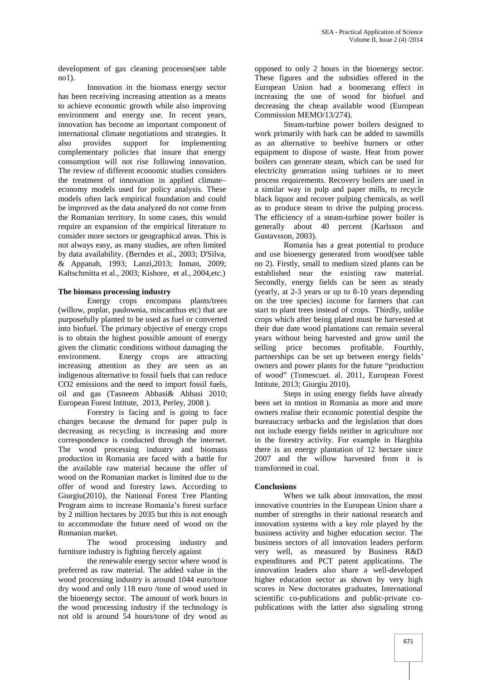development of gas cleaning processes(see table no1).

Innovation in the biomass energy sector has been receiving increasing attention as a means to achieve economic growth while also improving environment and energy use. In recent years, innovation has become an important component of international climate negotiations and strategies. It also provides support for implementing complementary policies that insure that energy consumption will not rise following innovation. The review of different economic studies considers the treatment of innovation in applied climate– economy models used for policy analysis. These models often lack empirical foundation and could be improved as the data analyzed do not come from the Romanian territory. In some cases, this would require an expansion of the empirical literature to consider more sectors or geographical areas. This is not always easy, as many studies, are often limited by data availability. (Berndes et al., 2003; D'Silva, & Appanah, 1993; Lanzi,2013; Inman, 2009; Kaltschmitta et al., 2003; Kishore, et al., 2004,etc.)

#### **The biomass processing industry**

Energy crops encompass plants/trees (willow, poplar, paulownia, miscanthus etc) that are purposefully planted to be used as fuel or converted into biofuel. The primary objective of energy crops is to obtain the highest possible amount of energy given the climatic conditions without damaging the environment. Energy crops are attracting increasing attention as they are seen as an indigenous alternative to fossil fuels that can reduce CO2 emissions and the need to import fossil fuels, oil and gas (Tasneem Abbasi& Abbasi 2010; European Forest Intitute, 2013, Perley, 2008 ).

Forestry is facing and is going to face changes because the demand for paper pulp is decreasing as recycling is increasing and more correspondence is conducted through the internet. The wood processing industry and biomass production in Romania are faced with a battle for the available raw material because the offer of wood on the Romanian market is limited due to the offer of wood and forestry laws. According to Giurgiu(2010), the National Forest Tree Planting Program aims to increase Romania's forest surface by 2 million hectares by 2035 but this is not enough to accommodate the future need of wood on the Romanian market.

The wood processing industry and furniture industry is fighting fiercely against

the renewable energy sector where wood is preferred as raw material. The added value in the wood processing industry is around 1044 euro/tone dry wood and only 118 euro /tone of wood used in the bioenergy sector. The amount of work hours in the wood processing industry if the technology is not old is around 54 hours/tone of dry wood as

opposed to only 2 hours in the bioenergy sector. These figures and the subsidies offered in the European Union had a boomerang effect in increasing the use of wood for biofuel and decreasing the cheap available wood (European Commission MEMO/13/274).

Steam-turbine power boilers designed to work primarily with bark can be added to sawmills as an alternative to beehive burners or other equipment to dispose of waste. Heat from power boilers can generate steam, which can be used for electricity generation using turbines or to meet process requirements. Recovery boilers are used in a similar way in pulp and paper mills, to recycle black liquor and recover pulping chemicals, as well as to produce steam to drive the pulping process. The efficiency of a steam-turbine power boiler is generally about 40 percent (Karlsson and Gustavsson, 2003).

Romania has a great potential to produce and use bioenergy generated from wood(see table no 2). Firstly, small to medium sized plants can be established near the existing raw material. Secondly, energy fields can be seen as steady (yearly, at 2-3 years or up to 8-10 years depending on the tree species) income for farmers that can start to plant trees instead of crops. Thirdly, unlike crops which after being plated must be harvested at their due date wood plantations can remain several years without being harvested and grow until the selling price becomes profitable. Fourthly, partnerships can be set up between energy fields' owners and power plants for the future "production of wood" (Tomescuet. al. 2011, European Forest Intitute, 2013; Giurgiu 2010).

Steps in using energy fields have already been set in motion in Romania as more and more owners realise their economic potential despite the bureaucracy setbacks and the legislation that does not include energy fields neither in agriculture nor in the forestry activity. For example in Harghita there is an energy plantation of 12 hectare since 2007 and the willow harvested from it is transformed in coal.

#### **Conclusions**

When we talk about innovation, the most innovative countries in the European Union share a number of strengths in their national research and innovation systems with a key role played by the business activity and higher education sector. The business sectors of all innovation leaders perform very well, as measured by Business R&D expenditures and PCT patent applications. The innovation leaders also share a well-developed higher education sector as shown by very high scores in New doctorates graduates, International scientific co-publications and public-private co publications with the latter also signaling strong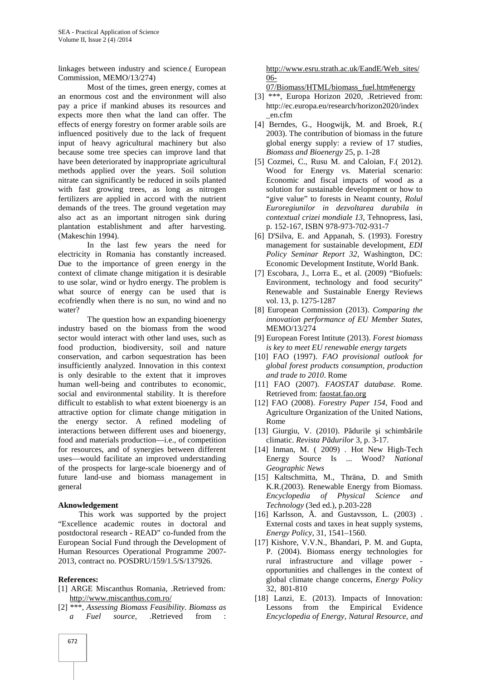linkages between industry and science.( European Commission, MEMO/13/274)

Most of the times, green energy, comes at an enormous cost and the environment will also pay a price if mankind abuses its resources and expects more then what the land can offer. The effects of energy forestry on former arable soils are influenced positively due to the lack of frequent input of heavy agricultural machinery but also because some tree species can improve land that have been deteriorated by inappropriate agricultural methods applied over the years. Soil solution nitrate can significantly be reduced in soils planted with fast growing trees, as long as nitrogen fertilizers are applied in accord with the nutrient demands of the trees. The ground vegetation may also act as an important nitrogen sink during plantation establishment and after harvesting. (Makeschin 1994).

In the last few years the need for electricity in Romania has constantly increased. Due to the importance of green energy in the context of climate change mitigation it is desirable to use solar, wind or hydro energy. The problem is what source of energy can be used that is ecofriendly when there is no sun, no wind and no water?

The question how an expanding bioenergy industry based on the biomass from the wood sector would interact with other land uses, such as food production, biodiversity, soil and nature conservation, and carbon sequestration has been insufficiently analyzed. Innovation in this context is only desirable to the extent that it improves human well-being and contributes to economic, social and environmental stability. It is therefore difficult to establish to what extent bioenergy is an attractive option for climate change mitigation in the energy sector. A refined modeling of interactions between different uses and bioenergy, food and materials production—i.e., of competition for resources, and of synergies between different uses—would facilitate an improved understanding of the prospects for large-scale bioenergy and of future land-use and biomass management in general

# **Aknowledgement**

This work was supported by the project "Excellence academic routes in doctoral and postdoctoral research - READ" co-funded from the European Social Fund through the Development of Human Resources Operational Programme 2007- 2013, contract no. POSDRU/159/1.5/S/137926.

#### **References:**

- [1] ARGE Miscanthus Romania*,* .Retrieved from*:* http://www.miscanthus.com.ro/
- [2] \*\*\*, *Assessing Biomass Feasibility. Biomass as a Fuel source*, .Retrieved from :

http://www.esru.strath.ac.uk/EandE/Web\_sites/ 06-

07/Biomass/HTML/biomass\_fuel.htm#energy

- [3] \*\*\*, Europa Horizon 2020, .Retrieved from: http://ec.europa.eu/research/horizon2020/index \_en.cfm
- [4] Berndes, G., Hoogwijk, M. and Broek, R.( 2003). The contribution of biomass in the future global energy supply: a review of 17 studies, *Biomass and Bioenergy* 25, p. 1-28
- [5] Cozmei, C., Rusu M. and Caloian, F.( 2012). Wood for Energy vs. Material scenario: Economic and fiscal impacts of wood as a solution for sustainable development or how to "give value" to forests in Neamt county, *Rolul Euroregiunilor in dezvoltarea durabila in contextual crizei mondiale 13*, Tehnopress, Iasi, p. 152-167, ISBN 978-973-702-931-7
- [6] D'Silva, E. and Appanah, S. (1993). Forestry management for sustainable development, *EDI Policy Seminar Report 32*, Washington, DC: Economic Development Institute, World Bank.
- [7] Escobara, J., Lorra E., et al. (2009) "Biofuels: Environment, technology and food security" Renewable and Sustainable Energy Reviews vol. 13, p. 1275-1287
- [8] European Commission (2013). *Comparing the innovation performance of EU Member States*, MEMO/13/274
- [9] European Forest Intitute (2013). *Forest biomass is key to meet EU renewable energy targets*
- [10] FAO (1997). *FAO provisional outlook for global forest products consumption, production and trade to 2010*. Rome
- [11] FAO (2007). *FAOSTAT database*. Rome. Retrieved from: faostat.fao.org
- [12] FAO (2008). *Forestry Paper 154*, Food and Agriculture Organization of the United Nations, Rome
- $[13]$  Giurgiu, V. (2010). P durile i schimb rile climatic. *Revista P durilor* 3, p. 3-17.
- [14] Inman, M. ( 2009) . Hot New High-Tech Energy Source Is ... Wood? *National Geographic News*
- [15] Kaltschmitta, M., Thräna, D. and Smith K.R.(2003). Renewable Energy from Biomass. *Encyclopedia of Physical Science and Technology* (3ed ed.), p.203-228
- [16] Karlsson, Å. and Gustavsson, L. (2003) . External costs and taxes in heat supply systems*, Energy Policy*, 31, 1541–1560.
- [17] Kishore, V.V.N., Bhandari, P. M. and Gupta, P. (2004). Biomass energy technologies for rural infrastructure and village power opportunities and challenges in the context of global climate change concerns, *Energy Policy* 32, 801-810
- [18] Lanzi, E. (2013). Impacts of Innovation: Lessons from the Empirical Evidence *Encyclopedia of Energy, Natural Resource, and*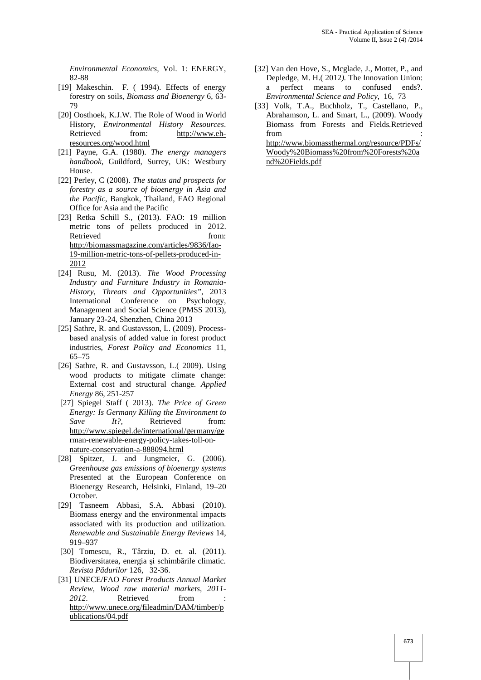*Environmental Economics,* Vol. 1: ENERGY, 82-88

- [19] Makeschin. F. ( 1994). Effects of energy forestry on soils, *Biomass and Bioenergy* 6, 63- 79
- [20] Oosthoek, K.J.W. The Role of Wood in World History, *Environmental History Resources*. Retrieved from: http://www.ehresources.org/wood.html
- [21] Payne, G.A. (1980). *The energy managers handbook*, Guildford, Surrey, UK: Westbury House.
- [22] Perley, C (2008). *The status and prospects for forestry as a source of bioenergy in Asia and the Pacific,* Bangkok, Thailand, FAO Regional Office for Asia and the Pacific
- [23] Retka Schill S., (2013). FAO: 19 million metric tons of pellets produced in 2012. Retrieved from: http://biomassmagazine.com/articles/9836/fao- 19-million-metric-tons-of-pellets-produced-in- 2012
- [24] Rusu, M. (2013). *The Wood Processing Industry and Furniture Industry in Romania- History, Threats and Opportunities"*, 2013 International Conference on Psychology, Management and Social Science (PMSS 2013), January 23-24, Shenzhen, China 2013
- [25] Sathre, R. and Gustavsson, L. (2009). Processbased analysis of added value in forest product industries, *Forest Policy and Economics* 11, 65–75
- [26] Sathre, R. and Gustavsson, L.( 2009). Using wood products to mitigate climate change: External cost and structural change. *Applied Energy* 86, 251-257
- [27] Spiegel Staff ( 2013). *The Price of Green Energy: Is Germany Killing the Environment to Save It?*, Retrieved from: http://www.spiegel.de/international/germany/ge rman-renewable-energy-policy-takes-toll-on nature-conservation-a-888094.html
- [28] Spitzer, J. and Jungmeier, G. (2006). *Greenhouse gas emissions of bioenergy systems* Presented at the European Conference on Bioenergy Research, Helsinki, Finland, 19–20 October.
- [29] Tasneem Abbasi, S.A. Abbasi (2010). Biomass energy and the environmental impacts associated with its production and utilization. *Renewable and Sustainable Energy Reviews* 14, 919–937
- [30] Tomescu, R., Târziu, D. et. al. (2011). Biodiversitatea, energia i schimb rile climatic. *Revista Pădurilor* 126, 32-36.
- [31] UNECE/FAO *Forest Products Annual Market Review, Wood raw material markets, 2011-* 2012. Retrieved from http://www.unece.org/fileadmin/DAM/timber/p ublications/04.pdf
- [32] Van den Hove, S., Mcglade, J., Mottet, P., and Depledge, M. H.( 2012*).* The Innovation Union: a perfect means to confused ends?. *Environmental Science and Policy*, 16, 73
- [33] Volk, T.A., Buchholz, T., Castellano, P., Abrahamson, L. and Smart, L., (2009). Woody Biomass from Forests and Fields*.*Retrieved from  $\blacksquare$

http://www.biomassthermal.org/resource/PDFs/ Woody%20Biomass%20from%20Forests%20a nd%20Fields.pdf